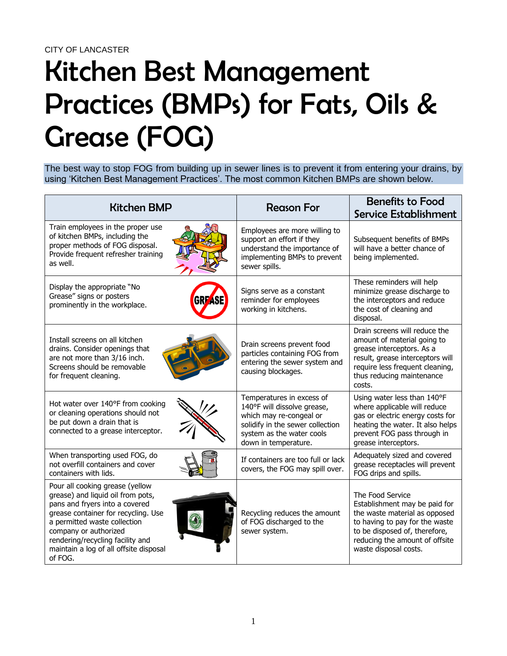## Kitchen Best Management Practices (BMPs) for Fats, Oils & Grease (FOG)

The best way to stop FOG from building up in sewer lines is to prevent it from entering your drains, by using 'Kitchen Best Management Practices'. The most common Kitchen BMPs are shown below.

| <b>Kitchen BMP</b>                                                                                                                                                                                                                                                                              | <b>Reason For</b>                                                                                                                                                            | <b>Benefits to Food</b><br><b>Service Establishment</b>                                                                                                                                                          |
|-------------------------------------------------------------------------------------------------------------------------------------------------------------------------------------------------------------------------------------------------------------------------------------------------|------------------------------------------------------------------------------------------------------------------------------------------------------------------------------|------------------------------------------------------------------------------------------------------------------------------------------------------------------------------------------------------------------|
| Train employees in the proper use<br>of kitchen BMPs, including the<br>proper methods of FOG disposal.<br>Provide frequent refresher training<br>as well.                                                                                                                                       | Employees are more willing to<br>support an effort if they<br>understand the importance of<br>implementing BMPs to prevent<br>sewer spills.                                  | Subsequent benefits of BMPs<br>will have a better chance of<br>being implemented.                                                                                                                                |
| Display the appropriate "No<br>Grease" signs or posters<br>prominently in the workplace.                                                                                                                                                                                                        | Signs serve as a constant<br>reminder for employees<br>working in kitchens.                                                                                                  | These reminders will help<br>minimize grease discharge to<br>the interceptors and reduce<br>the cost of cleaning and<br>disposal.                                                                                |
| Install screens on all kitchen<br>drains. Consider openings that<br>are not more than 3/16 inch.<br>Screens should be removable<br>for frequent cleaning.                                                                                                                                       | Drain screens prevent food<br>particles containing FOG from<br>entering the sewer system and<br>causing blockages.                                                           | Drain screens will reduce the<br>amount of material going to<br>grease interceptors. As a<br>result, grease interceptors will<br>require less frequent cleaning,<br>thus reducing maintenance<br>costs.          |
| Hot water over 140°F from cooking<br>or cleaning operations should not<br>be put down a drain that is<br>connected to a grease interceptor.                                                                                                                                                     | Temperatures in excess of<br>140°F will dissolve grease,<br>which may re-congeal or<br>solidify in the sewer collection<br>system as the water cools<br>down in temperature. | Using water less than 140°F<br>where applicable will reduce<br>gas or electric energy costs for<br>heating the water. It also helps<br>prevent FOG pass through in<br>grease interceptors.                       |
| When transporting used FOG, do<br>not overfill containers and cover<br>containers with lids.                                                                                                                                                                                                    | If containers are too full or lack<br>covers, the FOG may spill over.                                                                                                        | Adequately sized and covered<br>grease receptacles will prevent<br>FOG drips and spills.                                                                                                                         |
| Pour all cooking grease (yellow<br>grease) and liquid oil from pots,<br>pans and fryers into a covered<br>grease container for recycling. Use<br>a permitted waste collection<br>company or authorized<br>rendering/recycling facility and<br>maintain a log of all offsite disposal<br>of FOG. | Recycling reduces the amount<br>of FOG discharged to the<br>sewer system.                                                                                                    | The Food Service<br>Establishment may be paid for<br>the waste material as opposed<br>to having to pay for the waste<br>to be disposed of, therefore,<br>reducing the amount of offsite<br>waste disposal costs. |